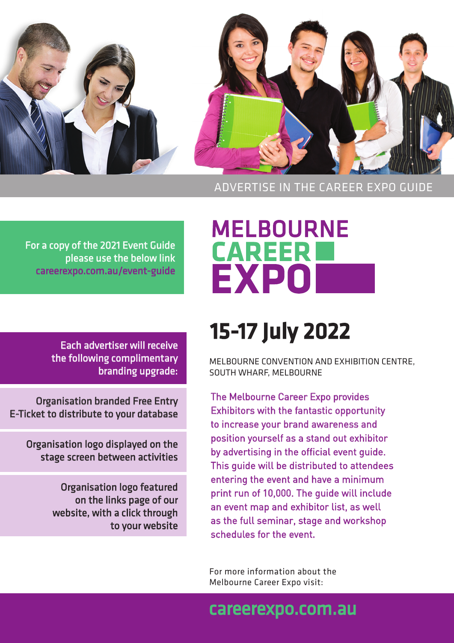

#### ADVERTISE IN THE CAREER EXPO GUIDE

For a copy of the 2021 Event Guide please use the below link [careerexpo.com.au/event-guide](http://careerexpo.com.au/event-guide)

> Each advertiser will receive the following complimentary branding upgrade:

Organisation branded Free Entry E-Ticket to distribute to your database

Organisation logo displayed on the stage screen between activities

> Organisation logo featured on the links page of our website, with a click through to your website

# **MELBOURNE<br>CAREER** EXPO

# 15-17 July 2022

MELBOURNE CONVENTION AND EXHIBITION CENTRE, SOUTH WHARF, MELBOURNE

The Melbourne Career Expo provides Exhibitors with the fantastic opportunity to increase your brand awareness and position yourself as a stand out exhibitor by advertising in the official event guide. This guide will be distributed to attendees entering the event and have a minimum print run of 10,000. The guide will include an event map and exhibitor list, as well as the full seminar, stage and workshop schedules for the event.

For more information about the Melbourne Career Expo visit:

## [careerexpo.com.au](http://careerexpo.com.au)